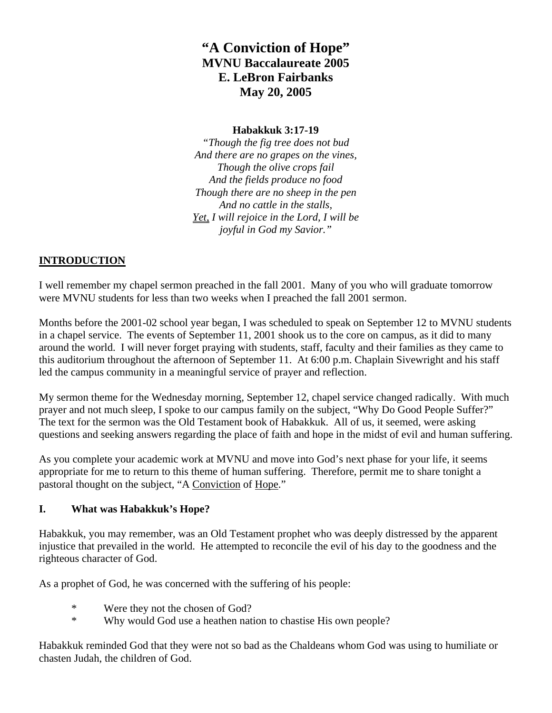# **"A Conviction of Hope" MVNU Baccalaureate 2005 E. LeBron Fairbanks May 20, 2005**

#### **Habakkuk 3:17-19**

*"Though the fig tree does not bud And there are no grapes on the vines, Though the olive crops fail And the fields produce no food Though there are no sheep in the pen And no cattle in the stalls, Yet, I will rejoice in the Lord, I will be joyful in God my Savior."*

#### **INTRODUCTION**

I well remember my chapel sermon preached in the fall 2001. Many of you who will graduate tomorrow were MVNU students for less than two weeks when I preached the fall 2001 sermon.

Months before the 2001-02 school year began, I was scheduled to speak on September 12 to MVNU students in a chapel service. The events of September 11, 2001 shook us to the core on campus, as it did to many around the world. I will never forget praying with students, staff, faculty and their families as they came to this auditorium throughout the afternoon of September 11. At 6:00 p.m. Chaplain Sivewright and his staff led the campus community in a meaningful service of prayer and reflection.

My sermon theme for the Wednesday morning, September 12, chapel service changed radically. With much prayer and not much sleep, I spoke to our campus family on the subject, "Why Do Good People Suffer?" The text for the sermon was the Old Testament book of Habakkuk. All of us, it seemed, were asking questions and seeking answers regarding the place of faith and hope in the midst of evil and human suffering.

As you complete your academic work at MVNU and move into God's next phase for your life, it seems appropriate for me to return to this theme of human suffering. Therefore, permit me to share tonight a pastoral thought on the subject, "A Conviction of Hope."

#### **I. What was Habakkuk's Hope?**

Habakkuk, you may remember, was an Old Testament prophet who was deeply distressed by the apparent injustice that prevailed in the world. He attempted to reconcile the evil of his day to the goodness and the righteous character of God.

As a prophet of God, he was concerned with the suffering of his people:

- \* Were they not the chosen of God?
- \* Why would God use a heathen nation to chastise His own people?

Habakkuk reminded God that they were not so bad as the Chaldeans whom God was using to humiliate or chasten Judah, the children of God.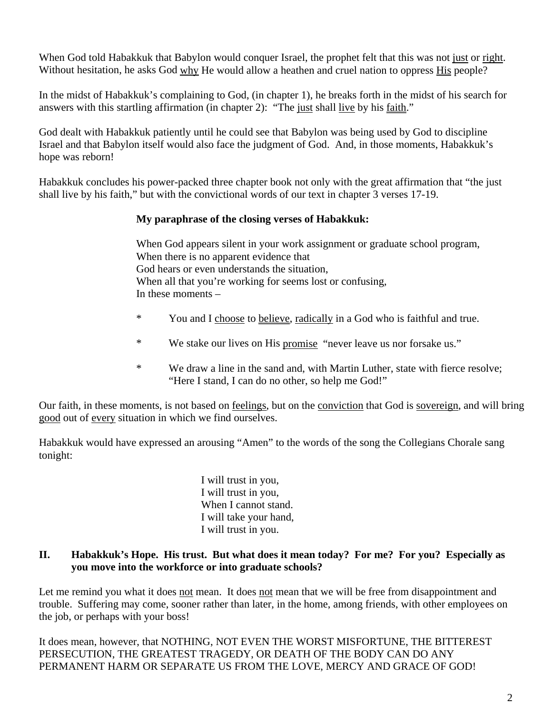When God told Habakkuk that Babylon would conquer Israel, the prophet felt that this was not just or right. Without hesitation, he asks God why He would allow a heathen and cruel nation to oppress His people?

In the midst of Habakkuk's complaining to God, (in chapter 1), he breaks forth in the midst of his search for answers with this startling affirmation (in chapter 2): "The just shall live by his faith."

God dealt with Habakkuk patiently until he could see that Babylon was being used by God to discipline Israel and that Babylon itself would also face the judgment of God. And, in those moments, Habakkuk's hope was reborn!

Habakkuk concludes his power-packed three chapter book not only with the great affirmation that "the just shall live by his faith," but with the convictional words of our text in chapter 3 verses 17-19.

# **My paraphrase of the closing verses of Habakkuk:**

When God appears silent in your work assignment or graduate school program, When there is no apparent evidence that God hears or even understands the situation, When all that you're working for seems lost or confusing, In these moments –

- \* You and I choose to believe, radically in a God who is faithful and true.
- \* We stake our lives on His promise "never leave us nor forsake us."
- \* We draw a line in the sand and, with Martin Luther, state with fierce resolve; "Here I stand, I can do no other, so help me God!"

Our faith, in these moments, is not based on feelings, but on the conviction that God is sovereign, and will bring good out of every situation in which we find ourselves.

Habakkuk would have expressed an arousing "Amen" to the words of the song the Collegians Chorale sang tonight:

> I will trust in you, I will trust in you, When I cannot stand. I will take your hand, I will trust in you.

#### **II. Habakkuk's Hope. His trust. But what does it mean today? For me? For you? Especially as you move into the workforce or into graduate schools?**

Let me remind you what it does not mean. It does not mean that we will be free from disappointment and trouble. Suffering may come, sooner rather than later, in the home, among friends, with other employees on the job, or perhaps with your boss!

It does mean, however, that NOTHING, NOT EVEN THE WORST MISFORTUNE, THE BITTEREST PERSECUTION, THE GREATEST TRAGEDY, OR DEATH OF THE BODY CAN DO ANY PERMANENT HARM OR SEPARATE US FROM THE LOVE, MERCY AND GRACE OF GOD!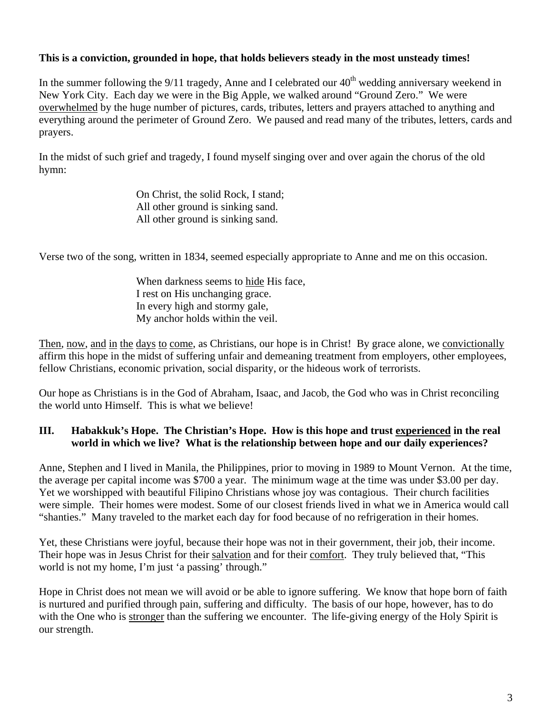## **This is a conviction, grounded in hope, that holds believers steady in the most unsteady times!**

In the summer following the  $9/11$  tragedy, Anne and I celebrated our  $40<sup>th</sup>$  wedding anniversary weekend in New York City. Each day we were in the Big Apple, we walked around "Ground Zero." We were overwhelmed by the huge number of pictures, cards, tributes, letters and prayers attached to anything and everything around the perimeter of Ground Zero. We paused and read many of the tributes, letters, cards and prayers.

In the midst of such grief and tragedy, I found myself singing over and over again the chorus of the old hymn:

> On Christ, the solid Rock, I stand; All other ground is sinking sand. All other ground is sinking sand.

Verse two of the song, written in 1834, seemed especially appropriate to Anne and me on this occasion.

 When darkness seems to hide His face, I rest on His unchanging grace. In every high and stormy gale, My anchor holds within the veil.

Then, now, and in the days to come, as Christians, our hope is in Christ! By grace alone, we convictionally affirm this hope in the midst of suffering unfair and demeaning treatment from employers, other employees, fellow Christians, economic privation, social disparity, or the hideous work of terrorists.

Our hope as Christians is in the God of Abraham, Isaac, and Jacob, the God who was in Christ reconciling the world unto Himself. This is what we believe!

#### **III. Habakkuk's Hope. The Christian's Hope. How is this hope and trust experienced in the real world in which we live? What is the relationship between hope and our daily experiences?**

Anne, Stephen and I lived in Manila, the Philippines, prior to moving in 1989 to Mount Vernon. At the time, the average per capital income was \$700 a year. The minimum wage at the time was under \$3.00 per day. Yet we worshipped with beautiful Filipino Christians whose joy was contagious. Their church facilities were simple. Their homes were modest. Some of our closest friends lived in what we in America would call "shanties." Many traveled to the market each day for food because of no refrigeration in their homes.

Yet, these Christians were joyful, because their hope was not in their government, their job, their income. Their hope was in Jesus Christ for their salvation and for their comfort. They truly believed that, "This world is not my home, I'm just 'a passing' through."

Hope in Christ does not mean we will avoid or be able to ignore suffering. We know that hope born of faith is nurtured and purified through pain, suffering and difficulty. The basis of our hope, however, has to do with the One who is stronger than the suffering we encounter. The life-giving energy of the Holy Spirit is our strength.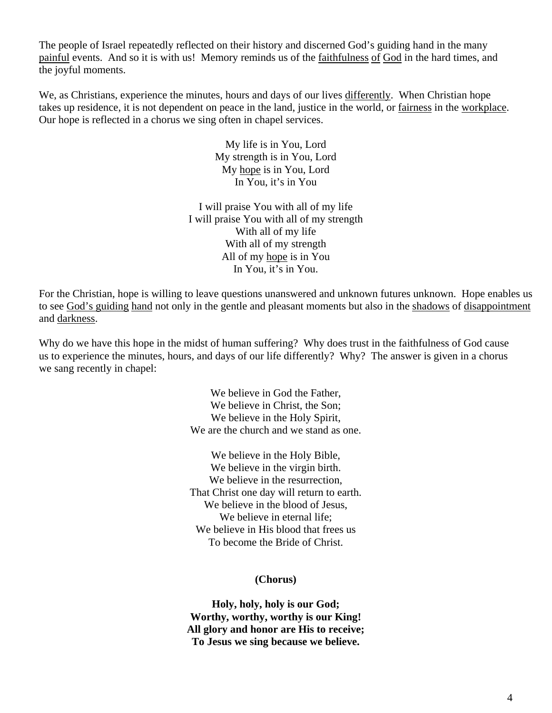The people of Israel repeatedly reflected on their history and discerned God's guiding hand in the many painful events. And so it is with us! Memory reminds us of the faithfulness of God in the hard times, and the joyful moments.

We, as Christians, experience the minutes, hours and days of our lives differently. When Christian hope takes up residence, it is not dependent on peace in the land, justice in the world, or fairness in the workplace. Our hope is reflected in a chorus we sing often in chapel services.

> My life is in You, Lord My strength is in You, Lord My hope is in You, Lord In You, it's in You

I will praise You with all of my life I will praise You with all of my strength With all of my life With all of my strength All of my hope is in You In You, it's in You.

For the Christian, hope is willing to leave questions unanswered and unknown futures unknown. Hope enables us to see God's guiding hand not only in the gentle and pleasant moments but also in the shadows of disappointment and darkness.

Why do we have this hope in the midst of human suffering? Why does trust in the faithfulness of God cause us to experience the minutes, hours, and days of our life differently? Why? The answer is given in a chorus we sang recently in chapel:

> We believe in God the Father, We believe in Christ, the Son; We believe in the Holy Spirit, We are the church and we stand as one.

> We believe in the Holy Bible, We believe in the virgin birth. We believe in the resurrection. That Christ one day will return to earth. We believe in the blood of Jesus, We believe in eternal life; We believe in His blood that frees us To become the Bride of Christ.

#### **(Chorus)**

**Holy, holy, holy is our God; Worthy, worthy, worthy is our King! All glory and honor are His to receive; To Jesus we sing because we believe.**